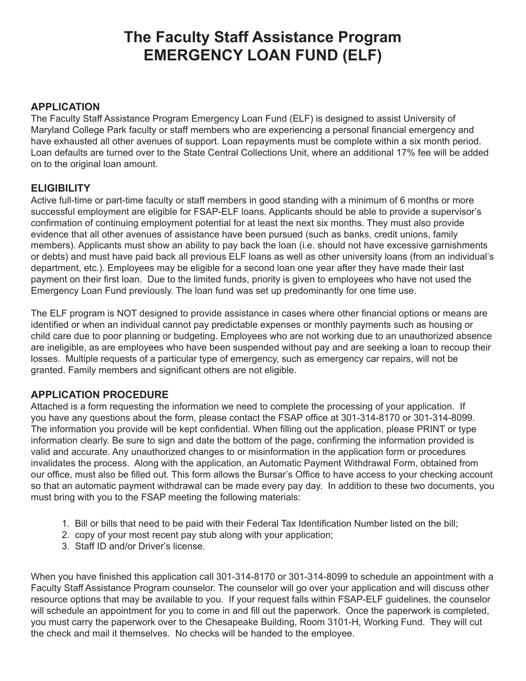# **The Faculty Staff Assistance Program EMERGENCY LOAN FUND (ELF)**

#### **APPLICATION**

The Faculty Staff Assistance Program Emergency Loan Fund (ELF) is designed to assist University of Maryland College Park faculty or staff members who are experiencing a personal financial emergency and have exhausted all other avenues of support. Loan repayments must be complete within a six month period. Loan defaults are turned over to the State Central Collections Unit, where an additional 17% fee will be added on to the original loan amount.

#### **ELIGIBILITY**

Active full-time or part-time faculty or staff members in good standing with a minimum of 6 months or more successful employment are eligible for FSAP-ELF loans. Applicants should be able to provide a supervisor's confirmation of continuing employment potential for at least the next six months. They must also provide evidence that all other avenues of assistance have been pursued (such as banks, credit unions, family members). Applicants must show an ability to pay back the loan (i.e. should not have excessive garnishments or debts) and must have paid back all previous ELF loans as well as other university loans (from an individual's department, etc.). Employees may be eligible for a second loan one year after they have made their last payment on their first loan. Due to the limited funds, priority is given to employees who have not used the Emergency Loan Fund previously. The loan fund was set up predominantly for one time use.

The ELF program is NOT designed to provide assistance in cases where other financial options or means are identified or when an individual cannot pay predictable expenses or monthly payments such as housing or child care due to poor planning or budgeting. Employees who are not working due to an unauthorized absence are ineligible, as are employees who have been suspended without pay and are seeking a loan to recoup their losses. Multiple requests of a particular type of emergency, such as emergency car repairs, will not be granted. Family members and significant others are not eligible.

#### **APPLICATION PROCEDURE**

Attached is a form requesting the information we need to complete the processing of your application. If you have any questions about the form, please contact the FSAP office at 301-314-8170 or 301-314-8099. The information you provide will be kept confidential. When filling out the application, please PRINT or type information clearly. Be sure to sign and date the bottom of the page, confirming the information provided is valid and accurate. Any unauthorized changes to or misinformation in the application form or procedures invalidates the process. Along with the application, an Automatic Payment Withdrawal Form, obtained from our office, must also be filled out. This form allows the Bursar's Office to have access to your checking account so that an automatic payment withdrawal can be made every pay day. In addition to these two documents, you must bring with you to the FSAP meeting the following materials:

- 1. Bill or bills that need to be paid with their Federal Tax Identification Number listed on the bill;
- 2. copy of your most recent pay stub along with your application;
- 3. Staff ID and/or Driver's license.

When you have finished this application call 301-314-8170 or 301-314-8099 to schedule an appointment with a Faculty Staff Assistance Program counselor. The counselor will go over your application and will discuss other resource options that may be available to you. If your request falls within FSAP-ELF guidelines, the counselor will schedule an appointment for you to come in and fill out the paperwork. Once the paperwork is completed, you must carry the paperwork over to the Chesapeake Building, Room 3101-H, Working Fund. They will cut the check and mail it themselves. No checks will be handed to the employee.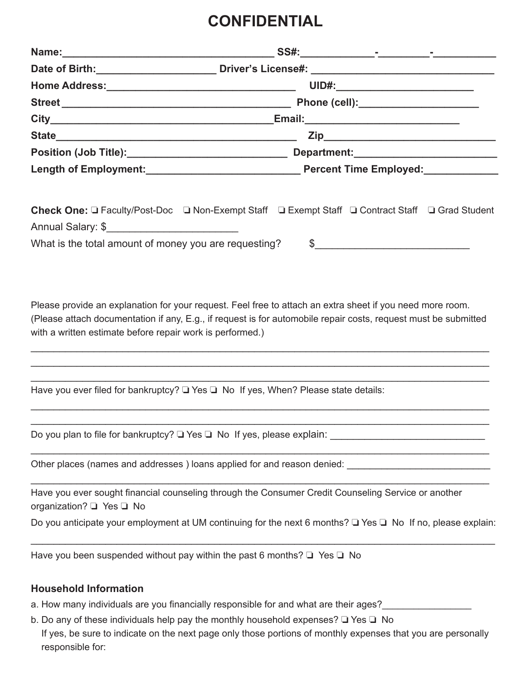### **CONFIDENTIAL**

|                                                           | UID#:____________________________                                                                                     |
|-----------------------------------------------------------|-----------------------------------------------------------------------------------------------------------------------|
|                                                           |                                                                                                                       |
|                                                           |                                                                                                                       |
|                                                           |                                                                                                                       |
|                                                           |                                                                                                                       |
|                                                           |                                                                                                                       |
| Annual Salary: \$                                         | Check One: □ Faculty/Post-Doc □ Non-Exempt Staff □ Exempt Staff □ Contract Staff □ Grad Student                       |
| What is the total amount of money you are requesting?     |                                                                                                                       |
| with a written estimate before repair work is performed.) |                                                                                                                       |
|                                                           | Have you ever filed for bankruptcy? $\Box$ Yes $\Box$ No If yes, When? Please state details:                          |
|                                                           | Do you plan to file for bankruptcy? □ Yes □ No If yes, please explain: ____________________________                   |
|                                                           | Other places (names and addresses) loans applied for and reason denied: Demonstrational control of the property       |
| organization? □ Yes □ No                                  | Have you ever sought financial counseling through the Consumer Credit Counseling Service or another                   |
|                                                           | Do you anticipate your employment at UM continuing for the next 6 months? $\Box$ Yes $\Box$ No If no, please explain: |
|                                                           | Have you been suspended without pay within the past 6 months? $\Box$ Yes $\Box$ No                                    |
| <b>Household Information</b>                              |                                                                                                                       |

- a. How many individuals are you financially responsible for and what are their ages?\_\_\_\_\_\_\_\_\_\_\_\_\_\_\_
- b. Do any of these individuals help pay the monthly household expenses? ❏ Yes ❏ No If yes, be sure to indicate on the next page only those portions of monthly expenses that you are personally responsible for: